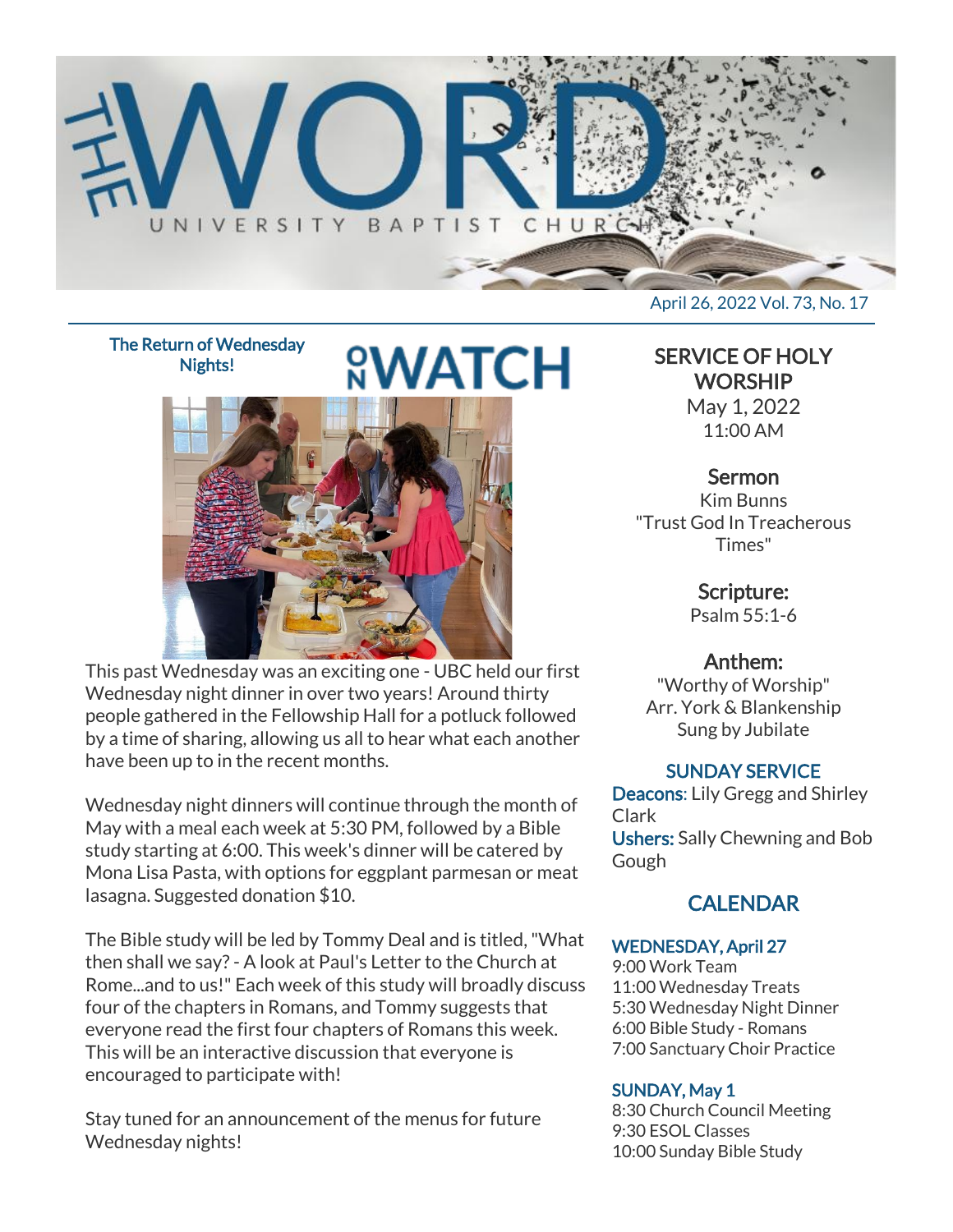

The Return of Wednesday Nights!

# **&WATCH**

This past Wednesday was an exciting one - UBC held our first Wednesday night dinner in over two years! Around thirty people gathered in the Fellowship Hall for a potluck followed by a time of sharing, allowing us all to hear what each another have been up to in the recent months.

Wednesday night dinners will continue through the month of May with a meal each week at 5:30 PM, followed by a Bible study starting at 6:00. This week's dinner will be catered by Mona Lisa Pasta, with options for eggplant parmesan or meat lasagna. Suggested donation \$10.

The Bible study will be led by Tommy Deal and is titled, "What then shall we say? - A look at Paul's Letter to the Church at Rome...and to us!" Each week of this study will broadly discuss four of the chapters in Romans, and Tommy suggests that everyone read the first four chapters of Romans this week. This will be an interactive discussion that everyone is encouraged to participate with!

Stay tuned for an announcement of the menus for future Wednesday nights!

April 26, 2022 Vol. 73, No. 17

SERVICE OF HOLY **WORSHIP** 

May 1, 2022 11:00 AM

## Sermon

Kim Bunns "Trust God In Treacherous Times"

> Scripture: Psalm 55:1-6

# Anthem:

"Worthy of Worship" Arr. York & Blankenship Sung by Jubilate

## SUNDAY SERVICE

Deacons: Lily Gregg and Shirley Clark Ushers: Sally Chewning and Bob Gough

# **CALENDAR**

#### WEDNESDAY, April 27

9:00 Work Team 11:00 Wednesday Treats 5:30 Wednesday Night Dinner 6:00 Bible Study - Romans 7:00 Sanctuary Choir Practice

#### SUNDAY, May 1

8:30 Church Council Meeting 9:30 ESOL Classes 10:00 Sunday Bible Study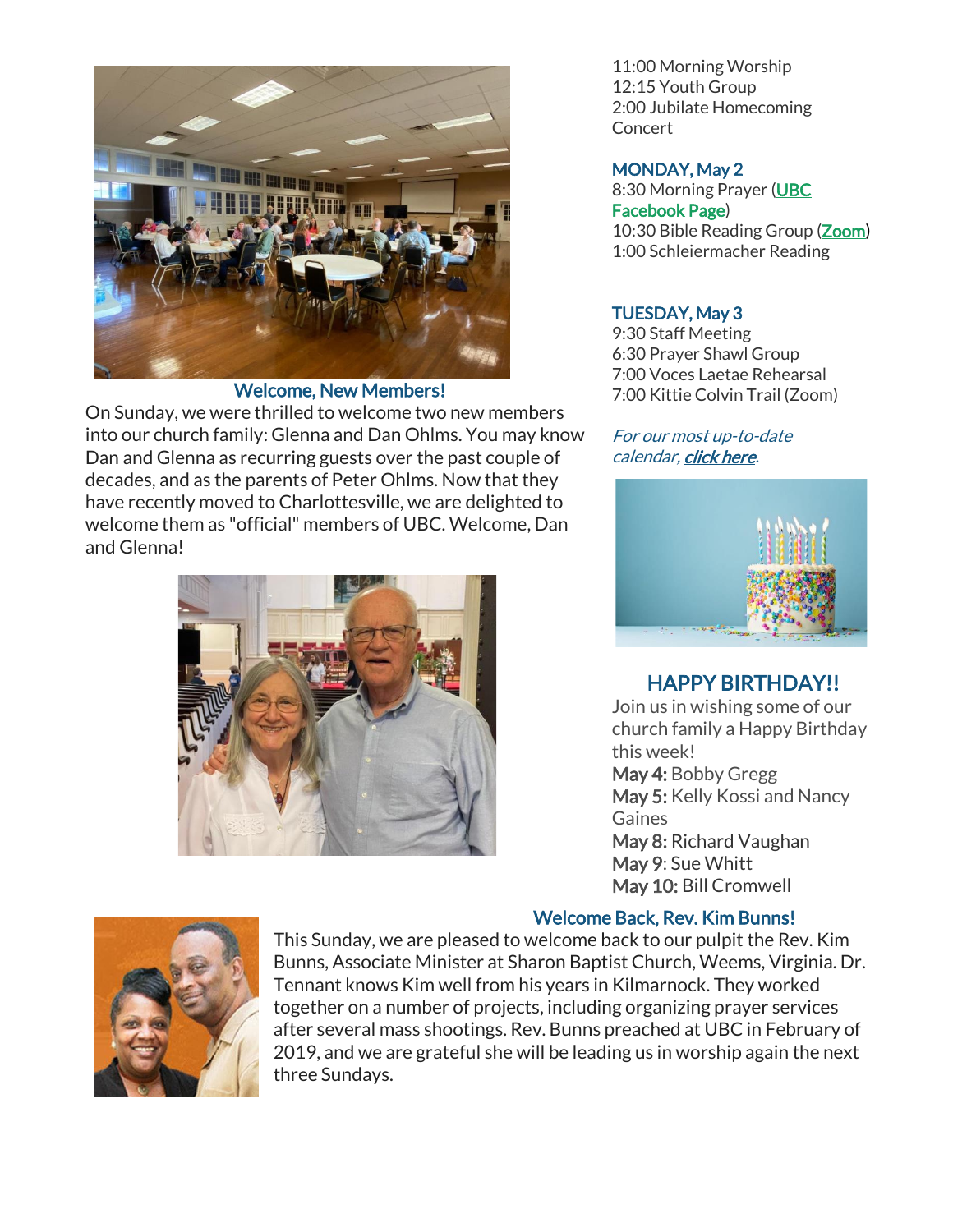

#### Welcome, New Members!

On Sunday, we were thrilled to welcome two new members into our church family: Glenna and Dan Ohlms. You may know Dan and Glenna as recurring guests over the past couple of decades, and as the parents of Peter Ohlms. Now that they have recently moved to Charlottesville, we are delighted to welcome them as "official" members of UBC. Welcome, Dan and Glenna!



11:00 Morning Worship 12:15 Youth Group 2:00 Jubilate Homecoming Concert

#### MONDAY, May 2

8:30 Morning Prayer [\(UBC](https://www.facebook.com/UniversityBaptistChurchCharlottesville) [Facebook Page\)](https://www.facebook.com/UniversityBaptistChurchCharlottesville) 10:30 Bible Reading Group [\(Zoom\)](https://us02web.zoom.us/j/85381408096?pwd=MzdkVG9JZ2x0M2JFK01KNlNjSWtqUT09) 1:00 Schleiermacher Reading

#### TUESDAY, May 3

9:30 Staff Meeting 6:30 Prayer Shawl Group 7:00 Voces Laetae Rehearsal 7:00 Kittie Colvin Trail (Zoom)

#### For our most up-to-date calendar, [click here.](https://universitybaptist.org/calendar/)



## HAPPY BIRTHDAY!!

Join us in wishing some of our church family a Happy Birthday this week! May 4: Bobby Gregg May 5: Kelly Kossi and Nancy Gaines May 8: Richard Vaughan May 9: Sue Whitt May 10: Bill Cromwell

#### Welcome Back, Rev. Kim Bunns!



This Sunday, we are pleased to welcome back to our pulpit the Rev. Kim Bunns, Associate Minister at Sharon Baptist Church, Weems, Virginia. Dr. Tennant knows Kim well from his years in Kilmarnock. They worked together on a number of projects, including organizing prayer services after several mass shootings. Rev. Bunns preached at UBC in February of 2019, and we are grateful she will be leading us in worship again the next three Sundays.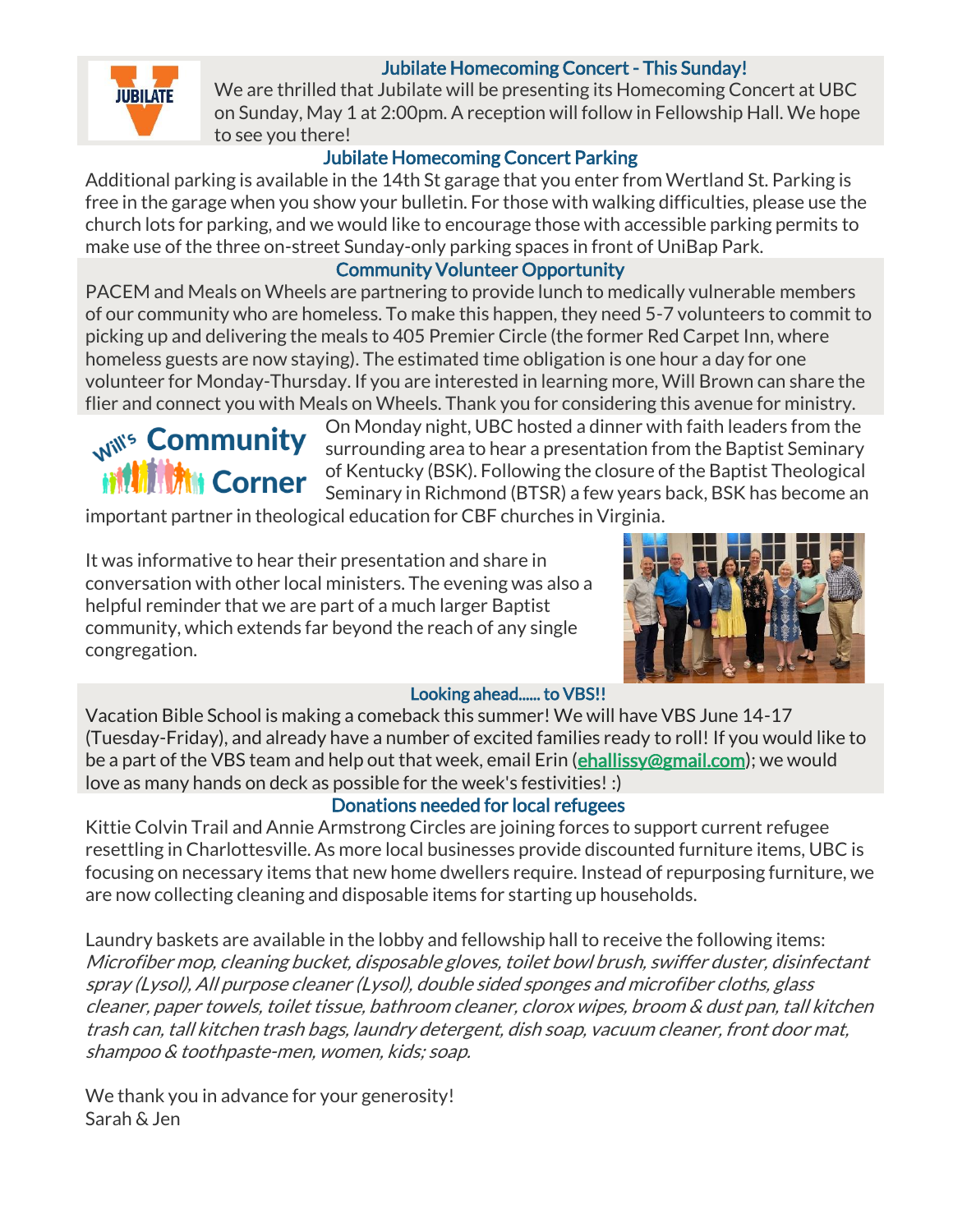## Jubilate Homecoming Concert - This Sunday!



We are thrilled that Jubilate will be presenting its Homecoming Concert at UBC on Sunday, May 1 at 2:00pm. A reception will follow in Fellowship Hall. We hope to see you there!

## Jubilate Homecoming Concert Parking

Additional parking is available in the 14th St garage that you enter from Wertland St. Parking is free in the garage when you show your bulletin. For those with walking difficulties, please use the church lots for parking, and we would like to encourage those with accessible parking permits to make use of the three on-street Sunday-only parking spaces in front of UniBap Park.

## Community Volunteer Opportunity

PACEM and Meals on Wheels are partnering to provide lunch to medically vulnerable members of our community who are homeless. To make this happen, they need 5-7 volunteers to commit to picking up and delivering the meals to 405 Premier Circle (the former Red Carpet Inn, where homeless guests are now staying). The estimated time obligation is one hour a day for one volunteer for Monday-Thursday. If you are interested in learning more, Will Brown can share the flier and connect you with Meals on Wheels. Thank you for considering this avenue for ministry.



On Monday night, UBC hosted a dinner with faith leaders from the surrounding area to hear a presentation from the Baptist Seminary of Kentucky (BSK). Following the closure of the Baptist Theological Seminary in Richmond (BTSR) a few years back, BSK has become an

important partner in theological education for CBF churches in Virginia.

It was informative to hear their presentation and share in conversation with other local ministers. The evening was also a helpful reminder that we are part of a much larger Baptist community, which extends far beyond the reach of any single congregation.



#### Looking ahead...... to VBS!!

Vacation Bible School is making a comeback this summer! We will have VBS June 14-17 (Tuesday-Friday), and already have a number of excited families ready to roll! If you would like to be a part of the VBS team and help out that week, email Erin (**challissy@gmail.com**); we would love as many hands on deck as possible for the week's festivities! :)

#### Donations needed for local refugees

Kittie Colvin Trail and Annie Armstrong Circles are joining forces to support current refugee resettling in Charlottesville. As more local businesses provide discounted furniture items, UBC is focusing on necessary items that new home dwellers require. Instead of repurposing furniture, we are now collecting cleaning and disposable items for starting up households.

Laundry baskets are available in the lobby and fellowship hall to receive the following items: Microfiber mop, cleaning bucket, disposable gloves, toilet bowl brush, swiffer duster, disinfectant spray (Lysol), All purpose cleaner (Lysol), double sided sponges and microfiber cloths, glass cleaner, paper towels, toilet tissue, bathroom cleaner, clorox wipes, broom & dust pan, tall kitchen trash can, tall kitchen trash bags, laundry detergent, dish soap, vacuum cleaner, front door mat, shampoo & toothpaste-men, women, kids; soap.

We thank you in advance for your generosity! Sarah & Jen